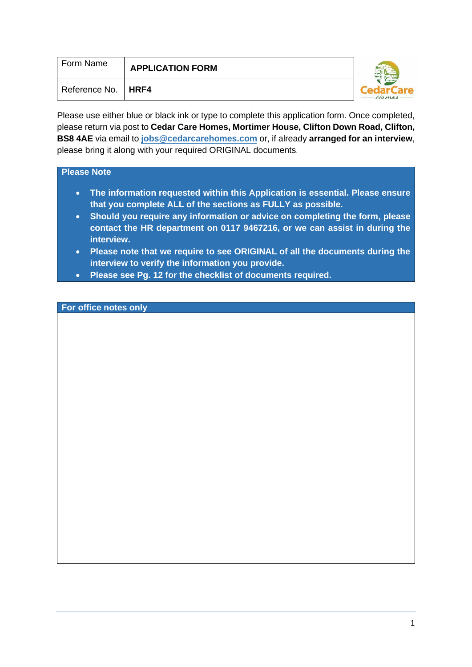| Form Name     | <b>APPLICATION FORM</b> |       |
|---------------|-------------------------|-------|
| Reference No. | <b>HRF4</b>             | Homes |

Please use either blue or black ink or type to complete this application form. Once completed, please return via post to **Cedar Care Homes, Mortimer House, Clifton Down Road, Clifton, BS8 4AE** via email to **[jobs@cedarcarehomes.com](mailto:jobs@cedarcarehomes.com)** or, if already **arranged for an interview**, please bring it along with your required ORIGINAL documents.

#### **Please Note**

- **The information requested within this Application is essential. Please ensure that you complete ALL of the sections as FULLY as possible.**
- **Should you require any information or advice on completing the form, please contact the HR department on 0117 9467216, or we can assist in during the interview.**
- **Please note that we require to see ORIGINAL of all the documents during the interview to verify the information you provide.**
- **Please see Pg. 12 for the checklist of documents required.**

#### **For office notes only**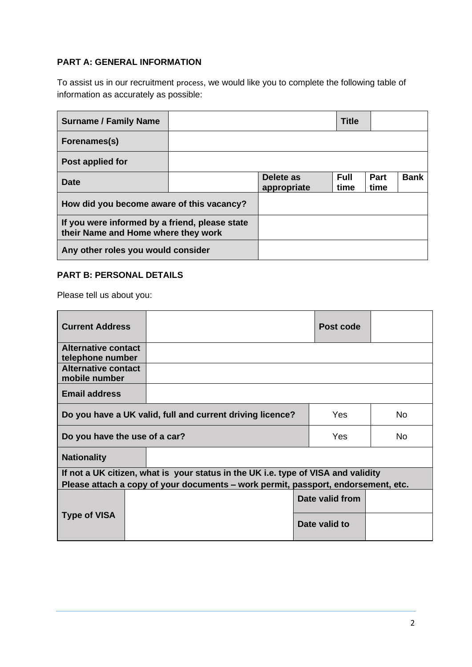# **PART A: GENERAL INFORMATION**

To assist us in our recruitment process, we would like you to complete the following table of information as accurately as possible:

| <b>Surname / Family Name</b>                                                          |  |                          | <b>Title</b>        |                     |             |
|---------------------------------------------------------------------------------------|--|--------------------------|---------------------|---------------------|-------------|
| Forenames(s)                                                                          |  |                          |                     |                     |             |
| Post applied for                                                                      |  |                          |                     |                     |             |
| <b>Date</b>                                                                           |  | Delete as<br>appropriate | <b>Full</b><br>time | <b>Part</b><br>time | <b>Bank</b> |
| How did you become aware of this vacancy?                                             |  |                          |                     |                     |             |
| If you were informed by a friend, please state<br>their Name and Home where they work |  |                          |                     |                     |             |
| Any other roles you would consider                                                    |  |                          |                     |                     |             |

# **PART B: PERSONAL DETAILS**

Please tell us about you:

| <b>Current Address</b>                         |                                                                                   |  | Post code       |     |  |  |  |
|------------------------------------------------|-----------------------------------------------------------------------------------|--|-----------------|-----|--|--|--|
| <b>Alternative contact</b><br>telephone number |                                                                                   |  |                 |     |  |  |  |
| Alternative contact<br>mobile number           |                                                                                   |  |                 |     |  |  |  |
| <b>Email address</b>                           |                                                                                   |  |                 |     |  |  |  |
|                                                | Yes<br><b>No</b><br>Do you have a UK valid, full and current driving licence?     |  |                 |     |  |  |  |
| Do you have the use of a car?                  |                                                                                   |  | Yes             | No. |  |  |  |
| <b>Nationality</b>                             |                                                                                   |  |                 |     |  |  |  |
|                                                | If not a UK citizen, what is your status in the UK i.e. type of VISA and validity |  |                 |     |  |  |  |
|                                                | Please attach a copy of your documents – work permit, passport, endorsement, etc. |  |                 |     |  |  |  |
|                                                |                                                                                   |  | Date valid from |     |  |  |  |
| <b>Type of VISA</b>                            |                                                                                   |  | Date valid to   |     |  |  |  |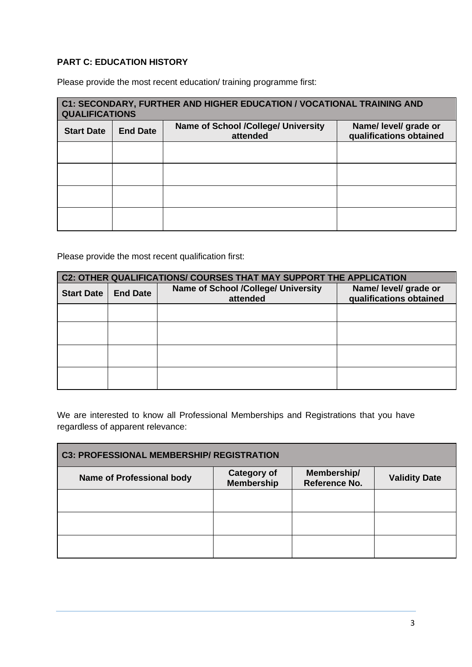# **PART C: EDUCATION HISTORY**

Please provide the most recent education/ training programme first:

| C1: SECONDARY, FURTHER AND HIGHER EDUCATION / VOCATIONAL TRAINING AND<br><b>QUALIFICATIONS</b> |                 |                                                        |                                                  |  |  |  |
|------------------------------------------------------------------------------------------------|-----------------|--------------------------------------------------------|--------------------------------------------------|--|--|--|
| <b>Start Date</b>                                                                              | <b>End Date</b> | <b>Name of School /College/ University</b><br>attended | Name/ level/ grade or<br>qualifications obtained |  |  |  |
|                                                                                                |                 |                                                        |                                                  |  |  |  |
|                                                                                                |                 |                                                        |                                                  |  |  |  |
|                                                                                                |                 |                                                        |                                                  |  |  |  |
|                                                                                                |                 |                                                        |                                                  |  |  |  |

Please provide the most recent qualification first:

| C2: OTHER QUALIFICATIONS/ COURSES THAT MAY SUPPORT THE APPLICATION                             |  |                                                  |  |  |  |  |
|------------------------------------------------------------------------------------------------|--|--------------------------------------------------|--|--|--|--|
| <b>Name of School /College/ University</b><br><b>Start Date</b><br><b>End Date</b><br>attended |  | Name/ level/ grade or<br>qualifications obtained |  |  |  |  |
|                                                                                                |  |                                                  |  |  |  |  |
|                                                                                                |  |                                                  |  |  |  |  |
|                                                                                                |  |                                                  |  |  |  |  |
|                                                                                                |  |                                                  |  |  |  |  |

We are interested to know all Professional Memberships and Registrations that you have regardless of apparent relevance:

| <b>C3: PROFESSIONAL MEMBERSHIP/ REGISTRATION</b> |                                         |                                     |                      |  |  |  |
|--------------------------------------------------|-----------------------------------------|-------------------------------------|----------------------|--|--|--|
| <b>Name of Professional body</b>                 | <b>Category of</b><br><b>Membership</b> | Membership/<br><b>Reference No.</b> | <b>Validity Date</b> |  |  |  |
|                                                  |                                         |                                     |                      |  |  |  |
|                                                  |                                         |                                     |                      |  |  |  |
|                                                  |                                         |                                     |                      |  |  |  |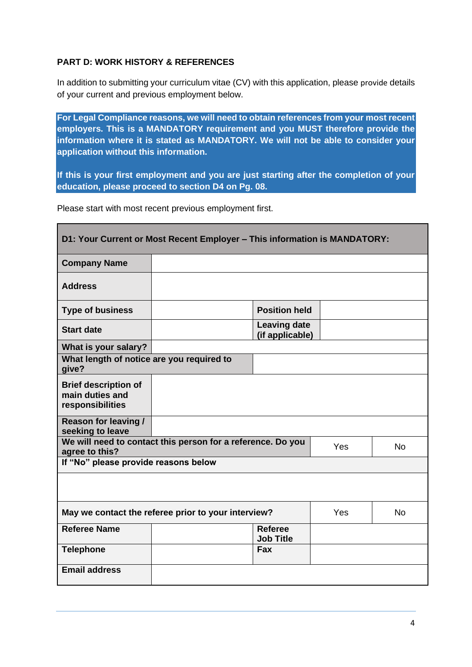# **PART D: WORK HISTORY & REFERENCES**

In addition to submitting your curriculum vitae (CV) with this application, please provide details of your current and previous employment below.

**For Legal Compliance reasons, we will need to obtain references from your most recent employers. This is a MANDATORY requirement and you MUST therefore provide the information where it is stated as MANDATORY. We will not be able to consider your application without this information.**

**If this is your first employment and you are just starting after the completion of your education, please proceed to section D4 on Pg. 08.**

Please start with most recent previous employment first.

| D1: Your Current or Most Recent Employer - This information is MANDATORY: |                                                             |                                        |     |           |  |
|---------------------------------------------------------------------------|-------------------------------------------------------------|----------------------------------------|-----|-----------|--|
| <b>Company Name</b>                                                       |                                                             |                                        |     |           |  |
| <b>Address</b>                                                            |                                                             |                                        |     |           |  |
| <b>Type of business</b>                                                   |                                                             | <b>Position held</b>                   |     |           |  |
| <b>Start date</b>                                                         |                                                             | <b>Leaving date</b><br>(if applicable) |     |           |  |
| What is your salary?                                                      |                                                             |                                        |     |           |  |
| What length of notice are you required to<br>give?                        |                                                             |                                        |     |           |  |
| <b>Brief description of</b><br>main duties and<br>responsibilities        |                                                             |                                        |     |           |  |
| <b>Reason for leaving /</b><br>seeking to leave                           |                                                             |                                        |     |           |  |
| agree to this?                                                            | We will need to contact this person for a reference. Do you |                                        | Yes | <b>No</b> |  |
| If "No" please provide reasons below                                      |                                                             |                                        |     |           |  |
|                                                                           |                                                             |                                        |     |           |  |
|                                                                           | May we contact the referee prior to your interview?         |                                        | Yes | <b>No</b> |  |
| <b>Referee Name</b>                                                       |                                                             | <b>Referee</b><br><b>Job Title</b>     |     |           |  |
| <b>Telephone</b>                                                          |                                                             | <b>Fax</b>                             |     |           |  |
| <b>Email address</b>                                                      |                                                             |                                        |     |           |  |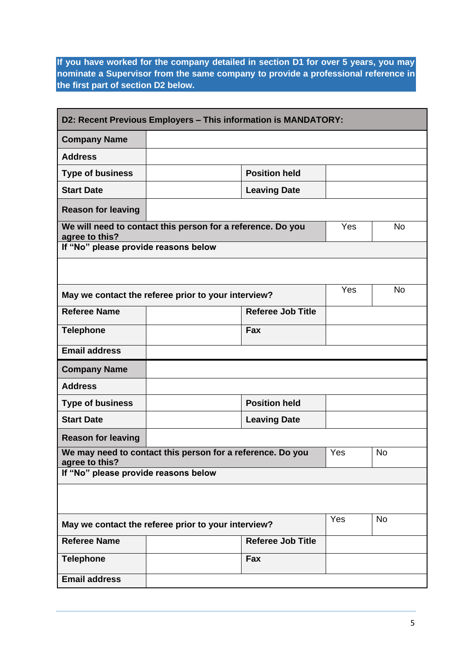**If you have worked for the company detailed in section D1 for over 5 years, you may nominate a Supervisor from the same company to provide a professional reference in the first part of section D2 below.**

| D2: Recent Previous Employers - This information is MANDATORY: |                                                             |                          |     |           |  |
|----------------------------------------------------------------|-------------------------------------------------------------|--------------------------|-----|-----------|--|
| <b>Company Name</b>                                            |                                                             |                          |     |           |  |
| <b>Address</b>                                                 |                                                             |                          |     |           |  |
| <b>Type of business</b>                                        |                                                             | <b>Position held</b>     |     |           |  |
| <b>Start Date</b>                                              |                                                             | <b>Leaving Date</b>      |     |           |  |
| <b>Reason for leaving</b>                                      |                                                             |                          |     |           |  |
| agree to this?                                                 | We will need to contact this person for a reference. Do you |                          | Yes | <b>No</b> |  |
| If "No" please provide reasons below                           |                                                             |                          |     |           |  |
|                                                                |                                                             |                          |     |           |  |
|                                                                | May we contact the referee prior to your interview?         |                          | Yes | <b>No</b> |  |
| <b>Referee Name</b>                                            |                                                             | <b>Referee Job Title</b> |     |           |  |
| <b>Telephone</b>                                               |                                                             | <b>Fax</b>               |     |           |  |
| <b>Email address</b>                                           |                                                             |                          |     |           |  |
| <b>Company Name</b>                                            |                                                             |                          |     |           |  |
| <b>Address</b>                                                 |                                                             |                          |     |           |  |
| <b>Type of business</b>                                        |                                                             | <b>Position held</b>     |     |           |  |
| <b>Start Date</b>                                              |                                                             | <b>Leaving Date</b>      |     |           |  |
| <b>Reason for leaving</b>                                      |                                                             |                          |     |           |  |
| agree to this?                                                 | We may need to contact this person for a reference. Do you  |                          | Yes | <b>No</b> |  |
| If "No" please provide reasons below                           |                                                             |                          |     |           |  |
|                                                                |                                                             |                          |     |           |  |
|                                                                | May we contact the referee prior to your interview?         |                          | Yes | No        |  |
| <b>Referee Name</b>                                            |                                                             | <b>Referee Job Title</b> |     |           |  |
| <b>Telephone</b>                                               |                                                             | Fax                      |     |           |  |
| <b>Email address</b>                                           |                                                             |                          |     |           |  |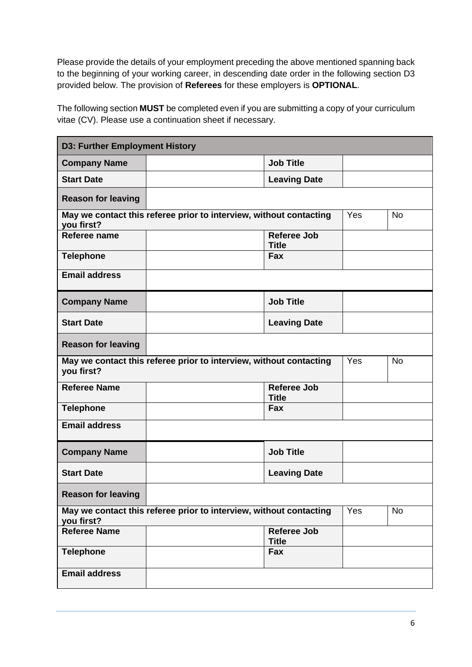Please provide the details of your employment preceding the above mentioned spanning back to the beginning of your working career, in descending date order in the following section D3 provided below. The provision of **Referees** for these employers is **OPTIONAL**.

The following section **MUST** be completed even if you are submitting a copy of your curriculum vitae (CV). Please use a continuation sheet if necessary.

| <b>D3: Further Employment History</b> |                                                                    |                                    |     |           |  |
|---------------------------------------|--------------------------------------------------------------------|------------------------------------|-----|-----------|--|
| <b>Company Name</b>                   |                                                                    | <b>Job Title</b>                   |     |           |  |
| <b>Start Date</b>                     |                                                                    | <b>Leaving Date</b>                |     |           |  |
| <b>Reason for leaving</b>             |                                                                    |                                    |     |           |  |
| you first?                            | May we contact this referee prior to interview, without contacting |                                    | Yes | <b>No</b> |  |
| Referee name                          |                                                                    | <b>Referee Job</b><br><b>Title</b> |     |           |  |
| <b>Telephone</b>                      |                                                                    | <b>Fax</b>                         |     |           |  |
| <b>Email address</b>                  |                                                                    |                                    |     |           |  |
| <b>Company Name</b>                   |                                                                    | <b>Job Title</b>                   |     |           |  |
| <b>Start Date</b>                     |                                                                    | <b>Leaving Date</b>                |     |           |  |
| <b>Reason for leaving</b>             |                                                                    |                                    |     |           |  |
| you first?                            | May we contact this referee prior to interview, without contacting |                                    | Yes | <b>No</b> |  |
| <b>Referee Name</b>                   |                                                                    | <b>Referee Job</b><br><b>Title</b> |     |           |  |
| <b>Telephone</b>                      |                                                                    | <b>Fax</b>                         |     |           |  |
| <b>Email address</b>                  |                                                                    |                                    |     |           |  |
| <b>Company Name</b>                   |                                                                    | <b>Job Title</b>                   |     |           |  |
| <b>Start Date</b>                     |                                                                    | <b>Leaving Date</b>                |     |           |  |
| <b>Reason for leaving</b>             |                                                                    |                                    |     |           |  |
| you first?                            | May we contact this referee prior to interview, without contacting |                                    | Yes | <b>No</b> |  |
| Referee Name                          |                                                                    | <b>Referee Job</b><br><b>Title</b> |     |           |  |
| <b>Telephone</b>                      |                                                                    | Fax                                |     |           |  |
| <b>Email address</b>                  |                                                                    |                                    |     |           |  |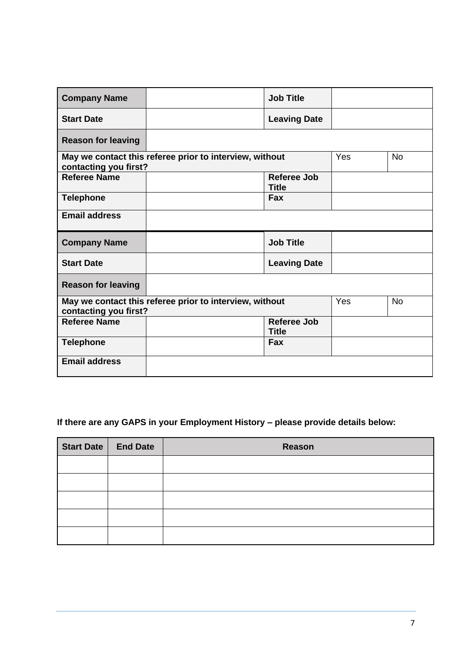| <b>Company Name</b>       | <b>Job Title</b>                                        |                     |           |
|---------------------------|---------------------------------------------------------|---------------------|-----------|
| <b>Start Date</b>         |                                                         | <b>Leaving Date</b> |           |
| <b>Reason for leaving</b> |                                                         |                     |           |
| contacting you first?     | May we contact this referee prior to interview, without | Yes                 | <b>No</b> |
| <b>Referee Name</b>       | <b>Title</b>                                            | <b>Referee Job</b>  |           |
| <b>Telephone</b>          | Fax                                                     |                     |           |
| <b>Email address</b>      |                                                         |                     |           |
|                           |                                                         |                     |           |
| <b>Company Name</b>       | <b>Job Title</b>                                        |                     |           |
| <b>Start Date</b>         |                                                         | <b>Leaving Date</b> |           |
| <b>Reason for leaving</b> |                                                         |                     |           |
| contacting you first?     | May we contact this referee prior to interview, without | Yes                 | <b>No</b> |
| <b>Referee Name</b>       | <b>Title</b>                                            | Referee Job         |           |
| <b>Telephone</b>          | Fax                                                     |                     |           |

# **If there are any GAPS in your Employment History – please provide details below:**

| Start Date   End Date | Reason |
|-----------------------|--------|
|                       |        |
|                       |        |
|                       |        |
|                       |        |
|                       |        |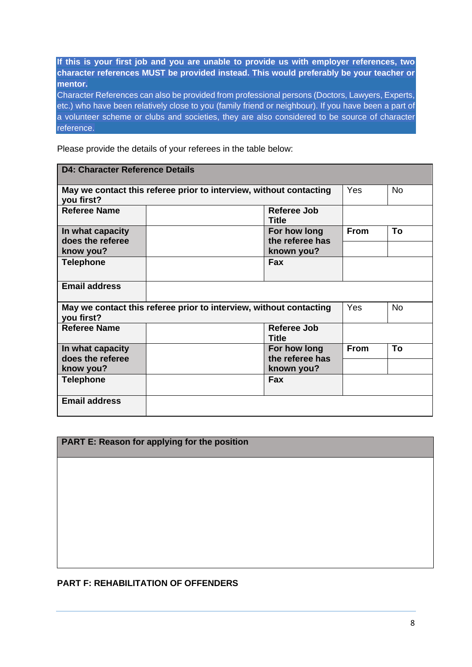**If this is your first job and you are unable to provide us with employer references, two character references MUST be provided instead. This would preferably be your teacher or mentor.**

Character References can also be provided from professional persons (Doctors, Lawyers, Experts, etc.) who have been relatively close to you (family friend or neighbour). If you have been a part of a volunteer scheme or clubs and societies, they are also considered to be source of character reference.

Please provide the details of your referees in the table below:

| <b>D4: Character Reference Details</b>                                           |     |                                               |             |    |  |
|----------------------------------------------------------------------------------|-----|-----------------------------------------------|-------------|----|--|
| May we contact this referee prior to interview, without contacting<br>you first? | Yes | <b>No</b>                                     |             |    |  |
| <b>Referee Name</b>                                                              |     | Referee Job<br>Title                          |             |    |  |
| In what capacity<br>does the referee<br>know you?                                |     | For how long<br>the referee has<br>known you? | <b>From</b> | To |  |
| <b>Telephone</b>                                                                 |     | <b>Fax</b>                                    |             |    |  |
| <b>Email address</b>                                                             |     |                                               |             |    |  |
| May we contact this referee prior to interview, without contacting<br>you first? | Yes | <b>No</b>                                     |             |    |  |
| Referee Name                                                                     |     | Referee Job<br><b>Title</b>                   |             |    |  |
| In what capacity<br>does the referee<br>know you?                                |     | For how long<br>the referee has<br>known you? | <b>From</b> | To |  |
| <b>Telephone</b>                                                                 |     | Fax                                           |             |    |  |
| <b>Email address</b>                                                             |     |                                               |             |    |  |

#### **PART E: Reason for applying for the position**

#### **PART F: REHABILITATION OF OFFENDERS**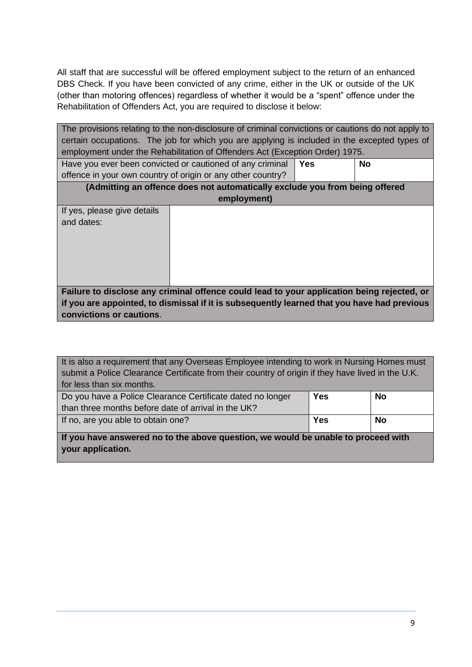All staff that are successful will be offered employment subject to the return of an enhanced DBS Check. If you have been convicted of any crime, either in the UK or outside of the UK (other than motoring offences) regardless of whether it would be a "spent" offence under the Rehabilitation of Offenders Act, you are required to disclose it below:

| The provisions relating to the non-disclosure of criminal convictions or cautions do not apply to |                                                             |  |  |  |
|---------------------------------------------------------------------------------------------------|-------------------------------------------------------------|--|--|--|
| certain occupations. The job for which you are applying is included in the excepted types of      |                                                             |  |  |  |
| employment under the Rehabilitation of Offenders Act (Exception Order) 1975.                      |                                                             |  |  |  |
| Have you ever been convicted or cautioned of any criminal<br><b>Yes</b><br><b>No</b>              |                                                             |  |  |  |
|                                                                                                   | offence in your own country of origin or any other country? |  |  |  |
| (Admitting an offence does not automatically exclude you from being offered                       |                                                             |  |  |  |
| employment)                                                                                       |                                                             |  |  |  |
| If yes, please give details                                                                       |                                                             |  |  |  |
| and dates:                                                                                        |                                                             |  |  |  |
|                                                                                                   |                                                             |  |  |  |
|                                                                                                   |                                                             |  |  |  |
|                                                                                                   |                                                             |  |  |  |
|                                                                                                   |                                                             |  |  |  |
|                                                                                                   |                                                             |  |  |  |
| Failure to disclose any criminal offence could lead to your application being rejected, or        |                                                             |  |  |  |
| if you are appointed, to dismissal if it is subsequently learned that you have had previous       |                                                             |  |  |  |
| convictions or cautions.                                                                          |                                                             |  |  |  |

It is also a requirement that any Overseas Employee intending to work in Nursing Homes must submit a Police Clearance Certificate from their country of origin if they have lived in the U.K. for less than six months.

| Do you have a Police Clearance Certificate dated no longer<br>than three months before date of arrival in the UK? | <b>Yes</b> | <b>No</b> |
|-------------------------------------------------------------------------------------------------------------------|------------|-----------|
| If no, are you able to obtain one?                                                                                | Yes        | <b>No</b> |

**If you have answered no to the above question, we would be unable to proceed with your application.**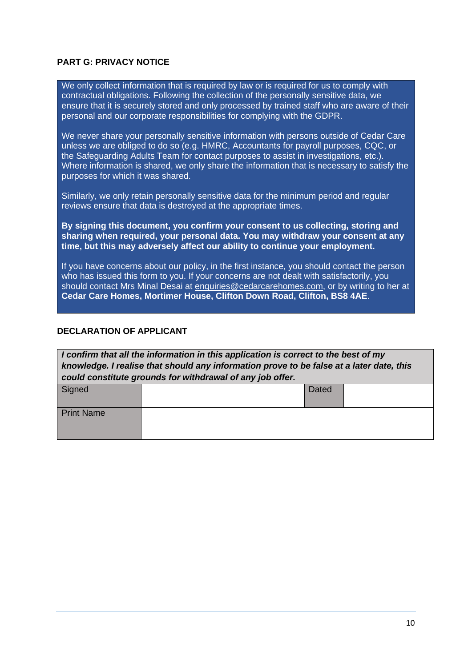#### **PART G: PRIVACY NOTICE**

We only collect information that is required by law or is required for us to comply with contractual obligations. Following the collection of the personally sensitive data, we ensure that it is securely stored and only processed by trained staff who are aware of their personal and our corporate responsibilities for complying with the GDPR.

We never share your personally sensitive information with persons outside of Cedar Care unless we are obliged to do so (e.g. HMRC, Accountants for payroll purposes, CQC, or the Safeguarding Adults Team for contact purposes to assist in investigations, etc.). Where information is shared, we only share the information that is necessary to satisfy the purposes for which it was shared.

Similarly, we only retain personally sensitive data for the minimum period and regular reviews ensure that data is destroyed at the appropriate times.

**By signing this document, you confirm your consent to us collecting, storing and sharing when required, your personal data. You may withdraw your consent at any time, but this may adversely affect our ability to continue your employment.**

If you have concerns about our policy, in the first instance, you should contact the person who has issued this form to you. If your concerns are not dealt with satisfactorily, you should contact Mrs Minal Desai at [enquiries@cedarcarehomes.com,](mailto:enquiries@cedarcarehomes.com) or by writing to her at **Cedar Care Homes, Mortimer House, Clifton Down Road, Clifton, BS8 4AE**.

#### **DECLARATION OF APPLICANT**

| I confirm that all the information in this application is correct to the best of my<br>knowledge. I realise that should any information prove to be false at a later date, this<br>could constitute grounds for withdrawal of any job offer. |  |       |  |  |
|----------------------------------------------------------------------------------------------------------------------------------------------------------------------------------------------------------------------------------------------|--|-------|--|--|
| Signed                                                                                                                                                                                                                                       |  | Dated |  |  |
| <b>Print Name</b>                                                                                                                                                                                                                            |  |       |  |  |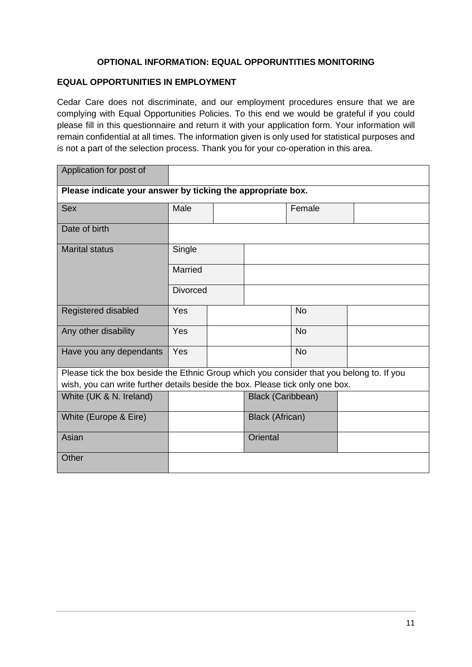# **OPTIONAL INFORMATION: EQUAL OPPORUNTITIES MONITORING**

#### **EQUAL OPPORTUNITIES IN EMPLOYMENT**

Cedar Care does not discriminate, and our employment procedures ensure that we are complying with Equal Opportunities Policies. To this end we would be grateful if you could please fill in this questionnaire and return it with your application form. Your information will remain confidential at all times. The information given is only used for statistical purposes and is not a part of the selection process. Thank you for your co-operation in this area.

| Application for post of                                                                   |                 |  |                          |           |  |
|-------------------------------------------------------------------------------------------|-----------------|--|--------------------------|-----------|--|
| Please indicate your answer by ticking the appropriate box.                               |                 |  |                          |           |  |
| <b>Sex</b>                                                                                | Male            |  |                          | Female    |  |
| Date of birth                                                                             |                 |  |                          |           |  |
| <b>Marital status</b>                                                                     | Single          |  |                          |           |  |
|                                                                                           | Married         |  |                          |           |  |
|                                                                                           | <b>Divorced</b> |  |                          |           |  |
| Registered disabled                                                                       | Yes             |  |                          | <b>No</b> |  |
| Any other disability                                                                      | Yes             |  |                          | <b>No</b> |  |
| Have you any dependants                                                                   | Yes             |  |                          | <b>No</b> |  |
| Please tick the box beside the Ethnic Group which you consider that you belong to. If you |                 |  |                          |           |  |
| wish, you can write further details beside the box. Please tick only one box.             |                 |  |                          |           |  |
| White (UK & N. Ireland)                                                                   |                 |  | <b>Black (Caribbean)</b> |           |  |
| White (Europe & Eire)                                                                     |                 |  | Black (African)          |           |  |
| Asian                                                                                     |                 |  | Oriental                 |           |  |
| Other                                                                                     |                 |  |                          |           |  |